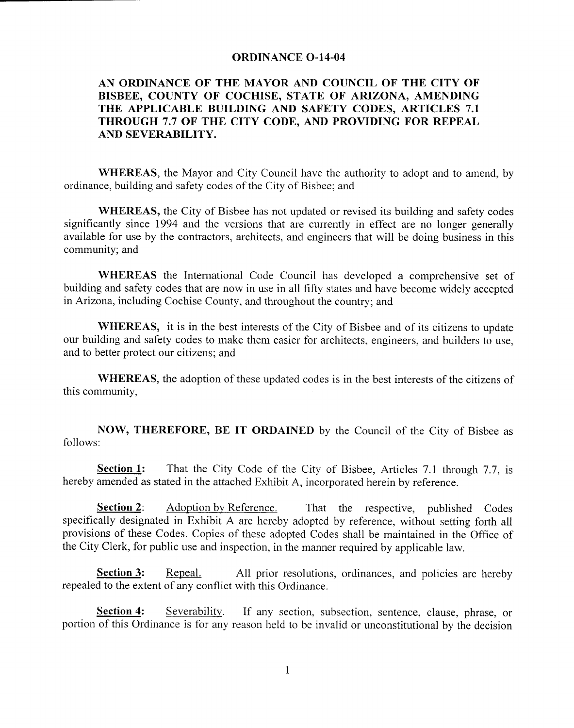#### **ORDINANCE O-14-04**

#### AN ORDINANCE OF THE MAYOR AND COUNCIL OF THE CITY OF BISBEE, COUNTY OF COCHISE, STATE OF ARIZONA, AMENDING THE APPLICABLE BUILDING AND SAFETY CODES, ARTICLES 7.1 THROUGH 7.7 OF THE CITY CODE, AND PROVIDING FOR REPEAL AND SEVERABILITY.

WHEREAS, the Mayor and City Council have the authority to adopt and to amend, by ordinance, building and safety codes of the City of Bisbee; and

WHEREAS, the City of Bisbee has not updated or revised its building and safety codes significantly since 1994 and the versions that are currently in effect are no longer generally available for use by the contractors, architects, and engineers that will be doing business in this community; and

WHEREAS the International Code Council has developed a comprehensive set of building and safety codes that are now in use in all fifty states and have become widely accepted in Arizona, including Cochise County, and throughout the country; and

WHEREAS, it is in the best interests of the City of Bisbee and of its citizens to update our building and safety codes to make them easier for architects, engineers, and builders to use, and to better protect our citizens; and

WHEREAS, the adoption of these updated codes is in the best interests of the citizens of this community,

NOW, THEREFORE, BE IT ORDAINED by the Council of the City of Bisbee as follows:

Section 1: That the City Code of the City of Bisbee, Articles 7.1 through 7.7, is hereby amended as stated in the attached Exhibit A, incorporated herein by reference.

Section 2: Adoption by Reference. That the respective, published Codes specifically designated in Exhibit A are hereby adopted by reference, without setting forth all provisions of these Codes. Copies of these adopted Codes shall be maintained in the Office of the City Clerk, for public use and inspection, in the manner required by applicable law.

**Section 3:** Repeal. All prior resolutions, ordinances, and policies are hereby repealed to the extent of any conflict with this Ordinance.

Section 4: Severability. If any section, subsection, sentence, clause, phrase, or portion of this Ordinance is for any reason held to be invalid or unconstitutional by the decision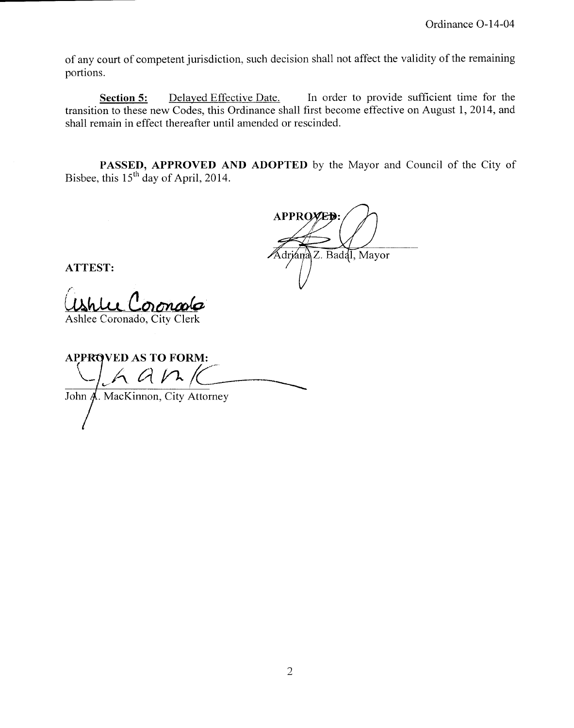of any court of competent jurisdiction, such decision shall not affect the validity of the remaining portions.

Section 5: Delayed Effective Date. In order to provide sufficient time for the transition to these new Codes, this Ordinance shall first become effective on August 1, 2014, and shall remain in effect thereafter until amended or rescinded.

PASSED, APPROVED AND ADOPTED by the Mayor and Council of the City of Bisbee, this  $15<sup>th</sup>$  day of April, 2014.

**APPROVED** Adriana Z. Badal, Mayor

ATTEST:

Ashlee Coronado, City Clerk

APPROVED AS TO FORM:  $A$ 

John 4. MacKinnon, City Attorney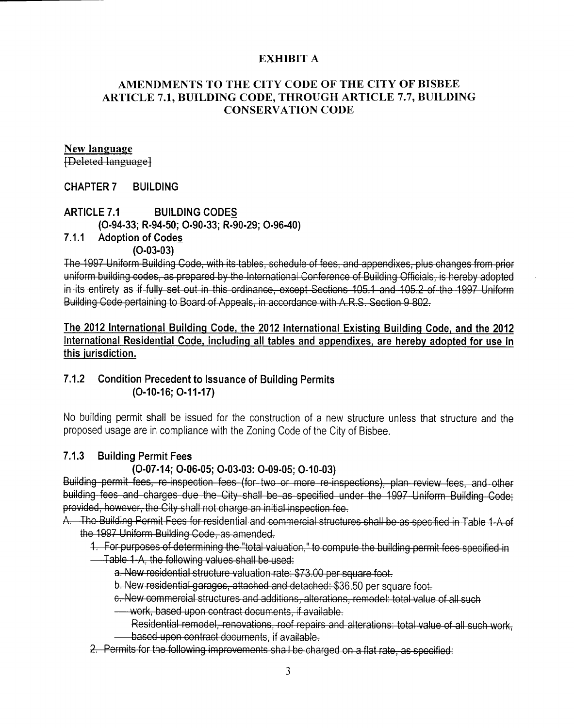#### **EXHIBIT A**

#### AMENDMENTS TO THE CITY CODE OF THE CITY OF BISBEE ARTICLE 7.1, BUILDING CODE, THROUGH ARTICLE 7.7, BUILDING **CONSERVATION CODE**

## New language

[Deleted language]

#### **CHAPTER 7 BUILDING**

#### **ARTICLE 7.1 BUILDING CODES** (0-94-33; R-94-50; O-90-33; R-90-29; O-96-40)

#### $7.1.1$ **Adoption of Codes**  $(O-03-03)$

The 1997 Uniform Building Code, with its tables, schedule of fees, and appendixes, plus changes from prior uniform building codes, as prepared by the International Conference of Building Officials, is hereby adopted in its entirety as if fully set out in this ordinance, except Sections 105.1 and 105.2 of the 1997 Uniform Building Code pertaining to Board of Appeals, in accordance with A.R.S. Section 9-802.

The 2012 International Building Code, the 2012 International Existing Building Code, and the 2012 International Residential Code, including all tables and appendixes, are hereby adopted for use in this jurisdiction.

#### $7.1.2$ **Condition Precedent to Issuance of Building Permits**  $(O-10-16; O-11-17)$

No building permit shall be issued for the construction of a new structure unless that structure and the proposed usage are in compliance with the Zoning Code of the City of Bisbee.

#### $7.1.3$ **Building Permit Fees**

#### (0-07-14; 0-06-05; 0-03-03: 0-09-05; 0-10-03)

Building permit fees, re-inspection fees (for-two-or more-re-inspections), plan review fees, and other building fees and charges due the City shall be as specified under the 1997 Uniform Building Code; provided, however, the City shall not charge an initial inspection fee.

A. The Building Permit Fees for residential and commercial structures shall be as specified in Table 1-A of the 1997 Uniform Building Code, as amended.

1. For purposes of determining the "total valuation," to compute the building permit fees specified in

- Table 1-A, the following values shall be used:
	- a. New residential structure valuation rate: \$73.00 per square foot.
	- b. New residential garages, attached and detached: \$36.50 per square foot.
	- c. New commercial structures and additions, alterations, remodel: total value of all such
	- work, based upon contract documents, if available.
		- Residential remodel, renovations, roof repairs and alterations: total value of all such work, based upon contract documents, if available.
- 2. Permits for the following improvements shall be charged on a flat rate, as specified: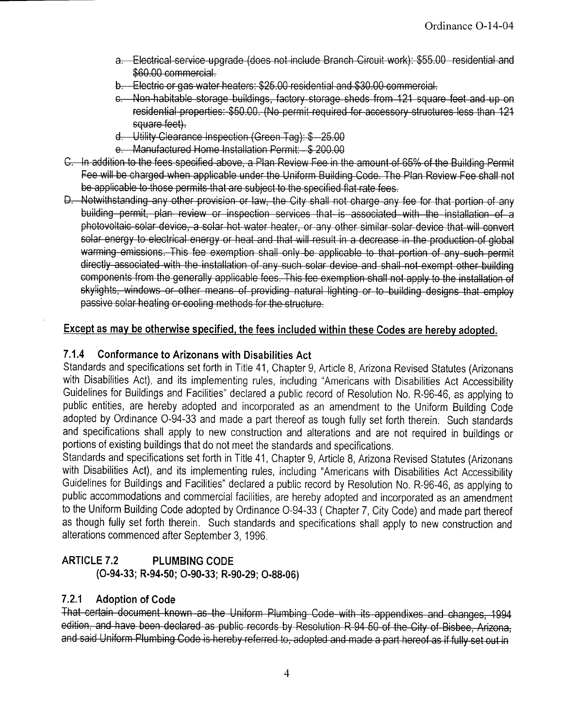- a. Electrical service upgrade (does not include Branch Circuit work): \$55.00 residential and \$60.00 commercial.
- b. Electric or gas water heaters: \$25.00 residential and \$30.00 commercial.
- c. Non-habitable storage buildings, factory storage sheds from 121 square feet and up on residential properties: \$50.00. (No permit required for accessory structures less than 121 square feet).
- d. Utility Clearance Inspection (Green Tag): \$-25.00
- e. Manufactured Home Installation Permit: \$ 200.00
- C. In addition to the fees specified above, a Plan Review Fee in the amount of 65% of the Building Permit Fee will be charged when applicable under the Uniform Building Code. The Plan Review Fee shall not be applicable to those permits that are subject to the specified flat rate fees.
- D. Notwithstanding any other provision or law, the City shall not charge any fee for that portion of any building permit, plan review or inspection services that is associated with the installation of a photovoltaic solar device, a solar hot water heater, or any other similar solar device that will convert solar energy to electrical energy or heat and that will result in a decrease in the production of global warming emissions. This fee exemption shall only be applicable to that portion of any such permit directly associated with the installation of any such solar device and shall not exempt other building components from the generally applicable fees. This fee exemption shall not apply to the installation of skylights, windows or other means of providing natural lighting or to building designs that employ passive solar heating or cooling methods for the structure.

## Except as may be otherwise specified, the fees included within these Codes are hereby adopted.

#### $7.1.4$ Conformance to Arizonans with Disabilities Act

Standards and specifications set forth in Title 41, Chapter 9, Article 8, Arizona Revised Statutes (Arizonans with Disabilities Act), and its implementing rules, including "Americans with Disabilities Act Accessibility Guidelines for Buildings and Facilities" declared a public record of Resolution No. R-96-46, as applying to public entities, are hereby adopted and incorporated as an amendment to the Uniform Building Code adopted by Ordinance O-94-33 and made a part thereof as tough fully set forth therein. Such standards and specifications shall apply to new construction and alterations and are not required in buildings or portions of existing buildings that do not meet the standards and specifications.

Standards and specifications set forth in Title 41, Chapter 9, Article 8, Arizona Revised Statutes (Arizonans with Disabilities Act), and its implementing rules, including "Americans with Disabilities Act Accessibility Guidelines for Buildings and Facilities" declared a public record by Resolution No. R-96-46, as applying to public accommodations and commercial facilities, are hereby adopted and incorporated as an amendment to the Uniform Building Code adopted by Ordinance O-94-33 (Chapter 7, City Code) and made part thereof as though fully set forth therein. Such standards and specifications shall apply to new construction and alterations commenced after September 3, 1996.

#### **ARTICLE 7.2 PLUMBING CODE** (O-94-33; R-94-50; O-90-33; R-90-29; O-88-06)

#### $7.2.1$ **Adoption of Code**

That certain document known as the Uniform Plumbing Code with its appendixes and changes, 1994 edition, and have been declared as public records by Resolution R 94-50 of the City of Bisbee, Arizona, and said Uniform Plumbing Code is hereby referred to, adopted and made a part hereof as if fully set out in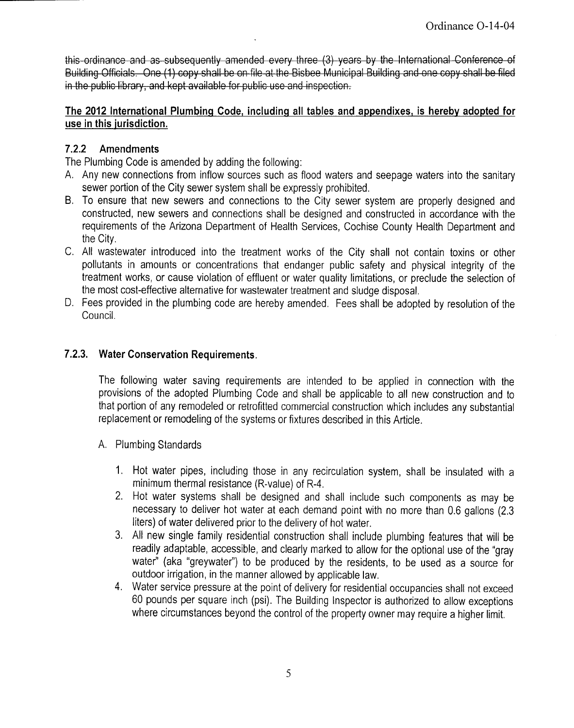this-ordinance and as subsequently amended every three (3) years by the International Conference of Building Officials. One (1) copy shall be on file at the Bisbee Municipal Building and one copy shall be filed in the public library, and kept available for public use and inspection.

#### The 2012 International Plumbing Code, including all tables and appendixes, is hereby adopted for use in this iurisdiction.

#### 7.22. Amendments

The Plumbing Code is amended by adding the following:

- A. Any new connections from inflow sources such as flood waters and seepage waters into the sanitary sewer portion of the City sewer system shall be expressly prohibited.
- B. To ensure that new sewers and connections to the City sewer system are properly designed and constructed, new sewers and connections shall be designed and constructed in accordance with the requirements of the Arizona Department of Health Services, Cochise County Health Department and the City.
- C. All wastewater introduced into the treatment works of the City shall not contain toxins or other pollutants in amounts or concentrations that endanger public safety and physical integrity of the treatment works, or cause violation of effluent or water quality limitations, or preclude the selection of the most cost-effective alternative for wastewater treatment and sludge disposal.
- D. Fees provided in the plumbing code are hereby amended. Fees shall be adopted by resolution of the Council.

### 7.2.3. Water Conservation Requirements.

The following water saving requirements are intended to be applied in connection with the provisions of the adopted Plumbing Code and shall be applicable to all new construction and to that portion of any remodeled or retrofitted commercial construction which includes any substantial replacement or remodeling of the systems or fixtures described in this Article.

- A. Plumbing Standards
	- 1. Hot water pipes, including those in any recirculation system, shall be insulated with <sup>a</sup> minimum thermal resistance (R-value) of R-4.
	- 2. Hot water systems shall be designed and shall include such components as may be necessary to deliver hot water at each demand point with no more than 0.6 gallons (2.3 liters) of water delivered prior to the delivery of hot water.
	- 3. All new single family residential construction shall include plumbing features that will be readily adaptable, accessible, and clearly marked to allow for the optional use of the "gray water" (aka "greywater') to be produced by the residents, to be used as <sup>a</sup> source for outdoor irrigation, in the manner allowed by applicable law.
	- 4. Water service pressure at the point of delivery for residential occupancies shall not exceed <sup>60</sup> pounds per square inch (psi). The Building Inspector is authorized to allow exceptions where circumstances beyond the control of the property owner may require a higher limit.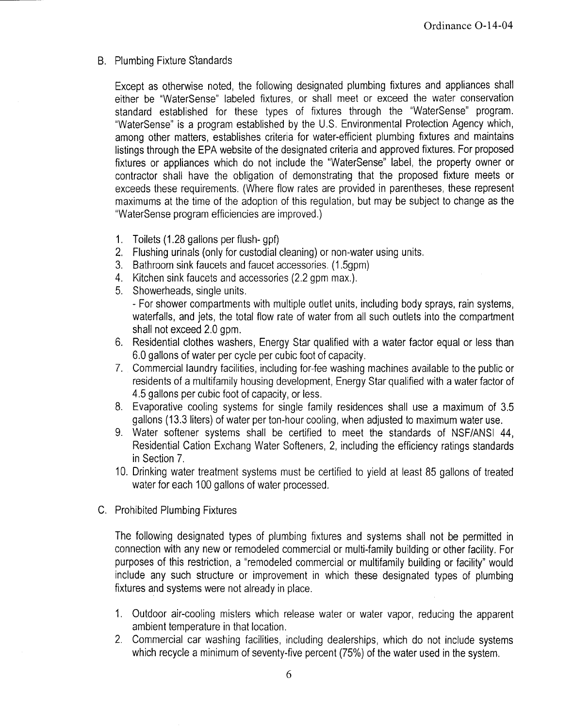B. Plumbing Fixture Standards

Except as otherwise noted, the following designated plumbing fixtures and appliances shall either be "WaterSense" labeled fixtures, or shall meet or exceed the water conservation standard established for these types of fixtures through the "WaterSense" program. WaterSense" is <sup>a</sup> program established by the U.S. Environmental Protection Agency which, among other matters, establishes criteria for water-efficient plumbing fixtures and maintains listings through the EPA website of the designated criteria and approved fixtures. For proposed fixtures or appliances which do not include the "WaterSense" label, the property owner or contractor shall have the obligation of demonstrating that the proposed fixture meets or exceeds these requirements. (Where flow rates are provided in parentheses, these represent maximums at the time of the adoption of this regulation, but may be subject to change as the WaterSense program efficiencies are improved.)

- 1. Toilets (1.28 gallons per flush- gpf)
- 2. Flushing urinals (only for custodial cleaning) or non-water using units.<br>3. Bathroom sink faucets and faucet accessories. (1.5gpm)
- 
- 4. Kitchen sink faucets and accessories (2.2 gpm max.).
- 5. Showerheads, single units.

For shower compartments with multiple outlet units, including body sprays, rain systems, waterfalls, and jets, the total flow rate of water from all such outlets into the compartment shall not exceed 2.0 gpm.

- 6. Residential clothes washers, Energy Star qualified with <sup>a</sup> water factor equal or less than 6.0 gallons of water per cycle per cubic foot of capacity.
- 7. Commercial laundry facilities, including for -fee washing machines available to the public or residents of a multifamily housing development, Energy Star qualified with a water factor of 4.5 gallons per cubic foot of capacity, or less.
- 8. Evaporative cooling systems for single family residences shall use <sup>a</sup> maximum of 3.5 gallons (13.3 liters) of water per ton -hour cooling, when adjusted to maximum water use.
- 9. Water softener systems shall be certified to meet the standards of NSF/ANSI 44, Residential Cation Exchang Water Softeners, 2, including the efficiency ratings standards in Section 7.
- 10. Drinking water treatment systems must be certified to yield at least 85 gallons of treated water for each 100 gallons of water processed.
- C. Prohibited Plumbing Fixtures

The following designated types of plumbing fixtures and systems shall not be permitted in connection with any new or remodeled commercial or multi-family building or other facility. For purposes of this restriction, a "remodeled commercial or multifamily building or facility" would include any such structure or improvement in which these designated types of plumbing fixtures and systems were not already in place.

- 1. Outdoor air-cooling misters which release water or water vapor, reducing the apparent ambient temperature in that location.
- 2. Commercial car washing facilities, including dealerships, which do not include systems which recycle a minimum of seventy-five percent (75%) of the water used in the system.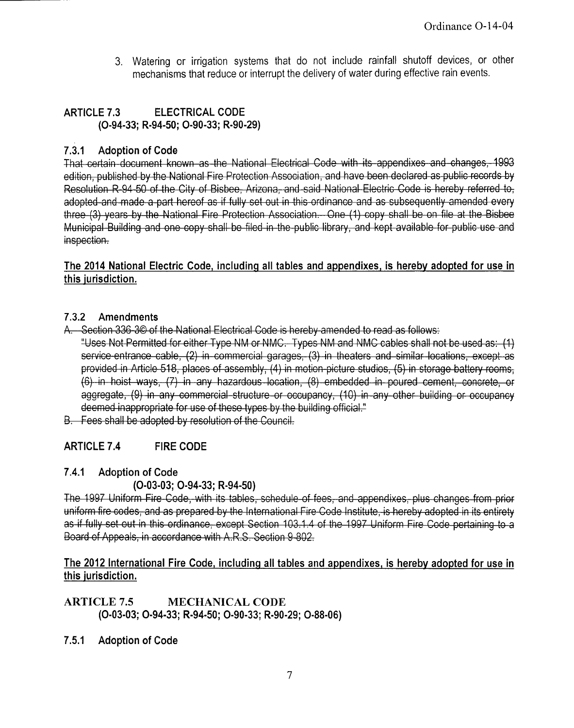3. Watering or irrigation systems that do not include rainfall shutoff devices, or other mechanisms that reduce or interrupt the delivery of water during effective rain events.

#### ARTICLE 7.3 ELECTRICAL CODE 0- 94 -33; R- 94 -50; 0- 90 -33; R- 90 -29)

## 7.3.1 Adoption of Code

CODE<br>
Si, R-90-29)<br>
She National Electrical Code with its appendixes and changes, 199<br>
The Protection Association, and have been declared as public records b<br>
Shee, Arizona, and said National Electric Code is hereby referr That certain document known as the National Electrical Code with its appendixes and changes, 1993<br>edition, published by the National Fire Protection Association, and have been declared as public records by<br>Resolution R-94inspection.

### The 2014 National Electric Code, including all tables and appendixes, is hereby adopted for use in this iurisdiction.

7.3.2 Amendments<br>A. Section 336-3© of the National Electrical Code is hereby amended to read as follows:

"Uses Not Permitted for either Type NM or NMC. Types NM and NMC cables shall not be used as: (1) service entrance cable, (2) in commercial garages, (3) in theaters and similar locations, except as provided in Article 518, places of assembly, (4) in motion-picture studios, (5) in storage battery rooms, (6) in hoist ways, (7) in any hazardous location, (8) embedded in poured cement, concrete, or aggregate, (9) in any commercial structure or occupancy, (10) in any other building or occupancy deemed inappropriate for use of these types by the building official."

B. Fees shall be adopted by resolution of the Council.

## ARTICLE 7.4 FIRE CODE

7.4.1 Adoption of Code

(O-03-03; O-94-33; R-94-50)<br>The 1997 Uniform Fire Code, with its tables, schedule of fees, and appendixes, plus changes from prior uniform fire codes, and as prepared by the International Fire-Code Institute, is hereby adopted in its entirety as if fully set out in this ordinance, except Section 103.1.4 of the 1997 Uniform Fire Code pertaining to a Board of Appeals, in accordance with A.R.S. Section 9-802.

The 2012 International Fire Code, including all tables and appendixes, is hereby adopted for use in this iurisdiction.

## ARTICLE 7.5 MECHANICAL CODE 0- 03 -03; 0- 94 -33; R- 94 -50; 0- 90 -33; R- 90 -29; 0- 88 -06)

7.5.1 Adoption of Code